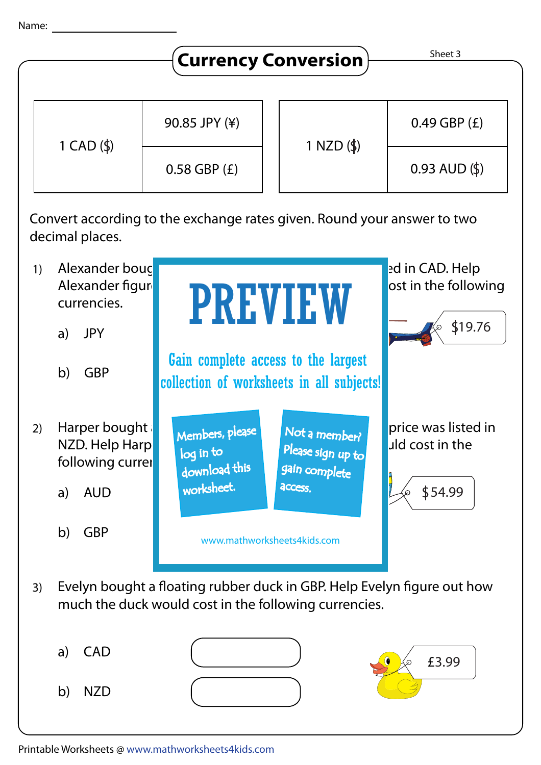

a) CAD b) NZD

£3.99

Printable Worksheets @ www.mathworksheets4kids.com